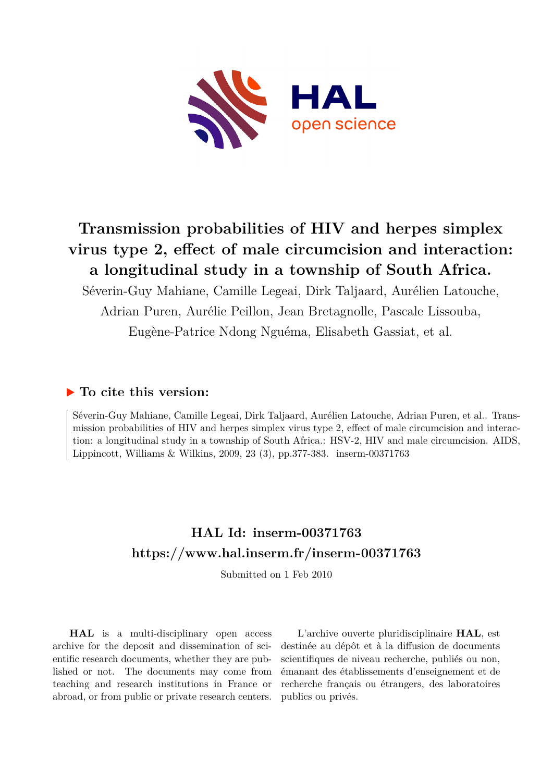

# **Transmission probabilities of HIV and herpes simplex virus type 2, effect of male circumcision and interaction: a longitudinal study in a township of South Africa.**

Séverin-Guy Mahiane, Camille Legeai, Dirk Taljaard, Aurélien Latouche, Adrian Puren, Aurélie Peillon, Jean Bretagnolle, Pascale Lissouba, Eugène-Patrice Ndong Nguéma, Elisabeth Gassiat, et al.

# **To cite this version:**

Séverin-Guy Mahiane, Camille Legeai, Dirk Taljaard, Aurélien Latouche, Adrian Puren, et al.. Transmission probabilities of HIV and herpes simplex virus type 2, effect of male circumcision and interaction: a longitudinal study in a township of South Africa.: HSV-2, HIV and male circumcision. AIDS, Lippincott, Williams & Wilkins, 2009, 23 (3), pp.377-383. inserm-00371763

# **HAL Id: inserm-00371763 <https://www.hal.inserm.fr/inserm-00371763>**

Submitted on 1 Feb 2010

**HAL** is a multi-disciplinary open access archive for the deposit and dissemination of scientific research documents, whether they are published or not. The documents may come from teaching and research institutions in France or abroad, or from public or private research centers.

L'archive ouverte pluridisciplinaire **HAL**, est destinée au dépôt et à la diffusion de documents scientifiques de niveau recherche, publiés ou non, émanant des établissements d'enseignement et de recherche français ou étrangers, des laboratoires publics ou privés.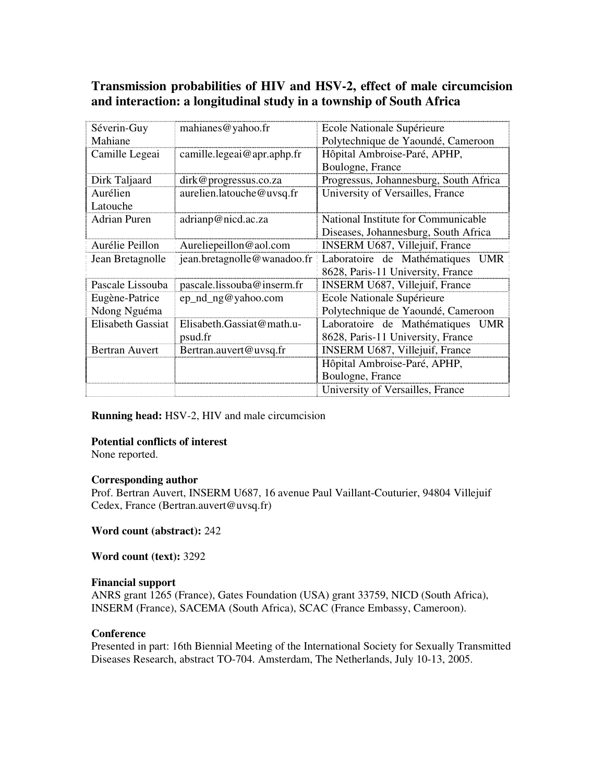# **Transmission probabilities of HIV and HSV-2, effect of male circumcision and interaction: a longitudinal study in a township of South Africa**

| Séverin-Guy              | mahianes@yahoo.fr           | Ecole Nationale Supérieure                 |
|--------------------------|-----------------------------|--------------------------------------------|
| Mahiane                  |                             | Polytechnique de Yaoundé, Cameroon         |
| Camille Legeai           | camille.legeai@apr.aphp.fr  | Hôpital Ambroise-Paré, APHP,               |
|                          |                             | Boulogne, France                           |
| Dirk Taljaard            | dirk@progressus.co.za       | Progressus, Johannesburg, South Africa     |
| Aurélien                 | aurelien.latouche@uvsq.fr   | University of Versailles, France           |
| Latouche                 |                             |                                            |
| <b>Adrian Puren</b>      | adrianp@nicd.ac.za          | National Institute for Communicable        |
|                          |                             | Diseases, Johannesburg, South Africa       |
| Aurélie Peillon          | Aureliepeillon@aol.com      | <b>INSERM U687, Villejuif, France</b>      |
| Jean Bretagnolle         | jean.bretagnolle@wanadoo.fr | Laboratoire de Mathématiques<br><b>UMR</b> |
|                          |                             | 8628, Paris-11 University, France          |
| Pascale Lissouba         | pascale.lissouba@inserm.fr  | <b>INSERM U687, Villejuif, France</b>      |
| Eugène-Patrice           | ep_nd_ng@yahoo.com          | Ecole Nationale Supérieure                 |
| Ndong Nguéma             |                             | Polytechnique de Yaoundé, Cameroon         |
| <b>Elisabeth Gassiat</b> | Elisabeth.Gassiat@math.u-   | Laboratoire de Mathématiques<br><b>UMR</b> |
|                          | psud.fr                     | 8628, Paris-11 University, France          |
| Bertran Auvert           | Bertran.auvert@uvsq.fr      | INSERM U687, Villejuif, France             |
|                          |                             | Hôpital Ambroise-Paré, APHP,               |
|                          |                             | Boulogne, France                           |
|                          |                             | University of Versailles, France           |

**Running head:** HSV-2, HIV and male circumcision

# **Potential conflicts of interest**

None reported.

## **Corresponding author**

Prof. Bertran Auvert, INSERM U687, 16 avenue Paul Vaillant-Couturier, 94804 Villejuif Cedex, France (Bertran.auvert@uvsq.fr)

**Word count (abstract):** 242

**Word count (text):** 3292

## **Financial support**

ANRS grant 1265 (France), Gates Foundation (USA) grant 33759, NICD (South Africa), INSERM (France), SACEMA (South Africa), SCAC (France Embassy, Cameroon).

## **Conference**

Presented in part: 16th Biennial Meeting of the International Society for Sexually Transmitted Diseases Research, abstract TO-704. Amsterdam, The Netherlands, July 10-13, 2005.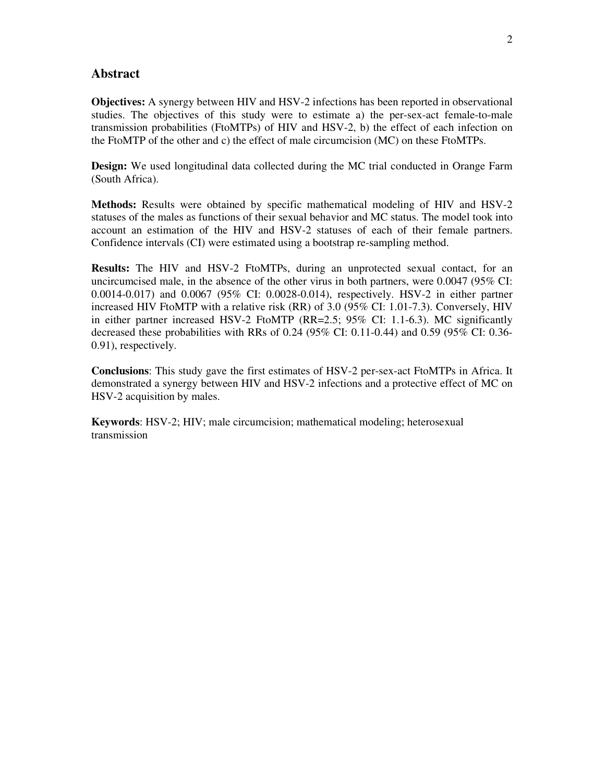# **Abstract**

**Objectives:** A synergy between HIV and HSV-2 infections has been reported in observational studies. The objectives of this study were to estimate a) the per-sex-act female-to-male transmission probabilities (FtoMTPs) of HIV and HSV-2, b) the effect of each infection on the FtoMTP of the other and c) the effect of male circumcision (MC) on these FtoMTPs.

**Design:** We used longitudinal data collected during the MC trial conducted in Orange Farm (South Africa).

**Methods:** Results were obtained by specific mathematical modeling of HIV and HSV-2 statuses of the males as functions of their sexual behavior and MC status. The model took into account an estimation of the HIV and HSV-2 statuses of each of their female partners. Confidence intervals (CI) were estimated using a bootstrap re-sampling method.

**Results:** The HIV and HSV-2 FtoMTPs, during an unprotected sexual contact, for an uncircumcised male, in the absence of the other virus in both partners, were 0.0047 (95% CI: 0.0014-0.017) and 0.0067 (95% CI: 0.0028-0.014), respectively. HSV-2 in either partner increased HIV FtoMTP with a relative risk (RR) of 3.0 (95% CI: 1.01-7.3). Conversely, HIV in either partner increased HSV-2 FtoMTP (RR=2.5; 95% CI: 1.1-6.3). MC significantly decreased these probabilities with RRs of 0.24 (95% CI: 0.11-0.44) and 0.59 (95% CI: 0.36- 0.91), respectively.

**Conclusions**: This study gave the first estimates of HSV-2 per-sex-act FtoMTPs in Africa. It demonstrated a synergy between HIV and HSV-2 infections and a protective effect of MC on HSV-2 acquisition by males.

**Keywords**: HSV-2; HIV; male circumcision; mathematical modeling; heterosexual transmission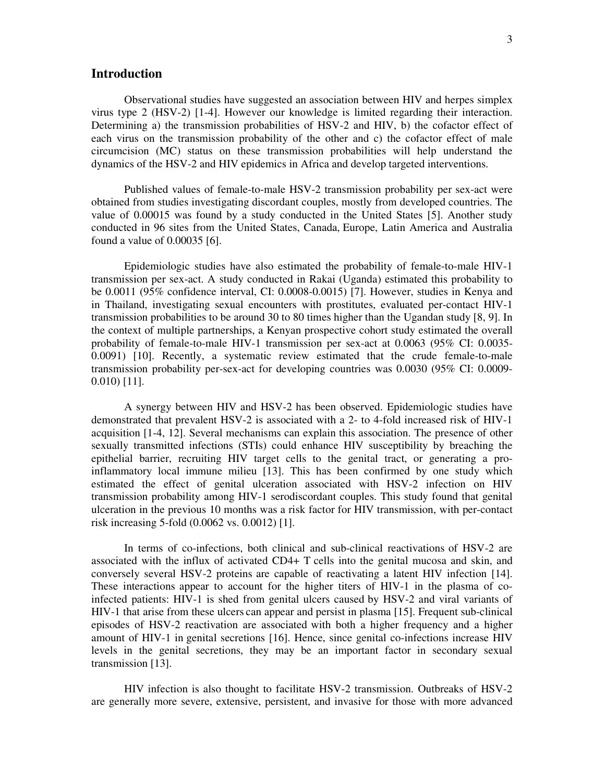# **Introduction**

Observational studies have suggested an association between HIV and herpes simplex virus type 2 (HSV-2) [1-4]. However our knowledge is limited regarding their interaction. Determining a) the transmission probabilities of HSV-2 and HIV, b) the cofactor effect of each virus on the transmission probability of the other and c) the cofactor effect of male circumcision (MC) status on these transmission probabilities will help understand the dynamics of the HSV-2 and HIV epidemics in Africa and develop targeted interventions.

Published values of female-to-male HSV-2 transmission probability per sex-act were obtained from studies investigating discordant couples, mostly from developed countries. The value of 0.00015 was found by a study conducted in the United States [5]. Another study conducted in 96 sites from the United States, Canada, Europe, Latin America and Australia found a value of 0.00035 [6].

Epidemiologic studies have also estimated the probability of female-to-male HIV-1 transmission per sex-act. A study conducted in Rakai (Uganda) estimated this probability to be 0.0011 (95% confidence interval, CI: 0.0008-0.0015) [7]. However, studies in Kenya and in Thailand, investigating sexual encounters with prostitutes, evaluated per-contact HIV-1 transmission probabilities to be around 30 to 80 times higher than the Ugandan study [8, 9]. In the context of multiple partnerships, a Kenyan prospective cohort study estimated the overall probability of female-to-male HIV-1 transmission per sex-act at 0.0063 (95% CI: 0.0035- 0.0091) [10]. Recently, a systematic review estimated that the crude female-to-male transmission probability per-sex-act for developing countries was 0.0030 (95% CI: 0.0009- 0.010) [11].

A synergy between HIV and HSV-2 has been observed. Epidemiologic studies have demonstrated that prevalent HSV-2 is associated with a 2- to 4-fold increased risk of HIV-1 acquisition [1-4, 12]. Several mechanisms can explain this association. The presence of other sexually transmitted infections (STIs) could enhance HIV susceptibility by breaching the epithelial barrier, recruiting HIV target cells to the genital tract, or generating a proinflammatory local immune milieu [13]. This has been confirmed by one study which estimated the effect of genital ulceration associated with HSV-2 infection on HIV transmission probability among HIV-1 serodiscordant couples. This study found that genital ulceration in the previous 10 months was a risk factor for HIV transmission, with per-contact risk increasing 5-fold (0.0062 vs. 0.0012) [1].

In terms of co-infections, both clinical and sub-clinical reactivations of HSV-2 are associated with the influx of activated CD4+ T cells into the genital mucosa and skin, and conversely several HSV-2 proteins are capable of reactivating a latent HIV infection [14]. These interactions appear to account for the higher titers of HIV-1 in the plasma of coinfected patients: HIV-1 is shed from genital ulcers caused by HSV-2 and viral variants of HIV-1 that arise from these ulcers can appear and persist in plasma [15]. Frequent sub-clinical episodes of HSV-2 reactivation are associated with both a higher frequency and a higher amount of HIV-1 in genital secretions [16]. Hence, since genital co-infections increase HIV levels in the genital secretions, they may be an important factor in secondary sexual transmission [13].

HIV infection is also thought to facilitate HSV-2 transmission. Outbreaks of HSV-2 are generally more severe, extensive, persistent, and invasive for those with more advanced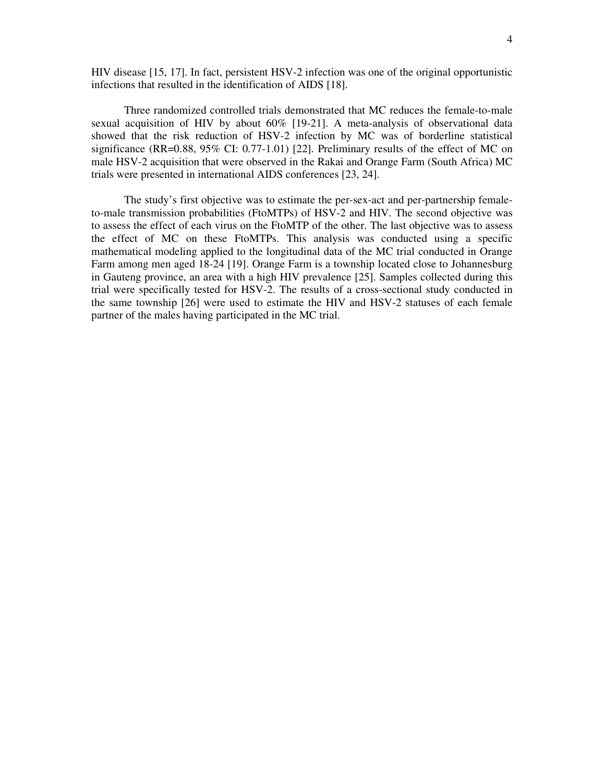HIV disease [15, 17]. In fact, persistent HSV-2 infection was one of the original opportunistic infections that resulted in the identification of AIDS [18].

Three randomized controlled trials demonstrated that MC reduces the female-to-male sexual acquisition of HIV by about 60% [19-21]. A meta-analysis of observational data showed that the risk reduction of HSV-2 infection by MC was of borderline statistical significance (RR=0.88, 95% CI: 0.77-1.01) [22]. Preliminary results of the effect of MC on male HSV-2 acquisition that were observed in the Rakai and Orange Farm (South Africa) MC trials were presented in international AIDS conferences [23, 24].

The study's first objective was to estimate the per-sex-act and per-partnership femaleto-male transmission probabilities (FtoMTPs) of HSV-2 and HIV. The second objective was to assess the effect of each virus on the FtoMTP of the other. The last objective was to assess the effect of MC on these FtoMTPs. This analysis was conducted using a specific mathematical modeling applied to the longitudinal data of the MC trial conducted in Orange Farm among men aged 18-24 [19]. Orange Farm is a township located close to Johannesburg in Gauteng province, an area with a high HIV prevalence [25]. Samples collected during this trial were specifically tested for HSV-2. The results of a cross-sectional study conducted in the same township [26] were used to estimate the HIV and HSV-2 statuses of each female partner of the males having participated in the MC trial.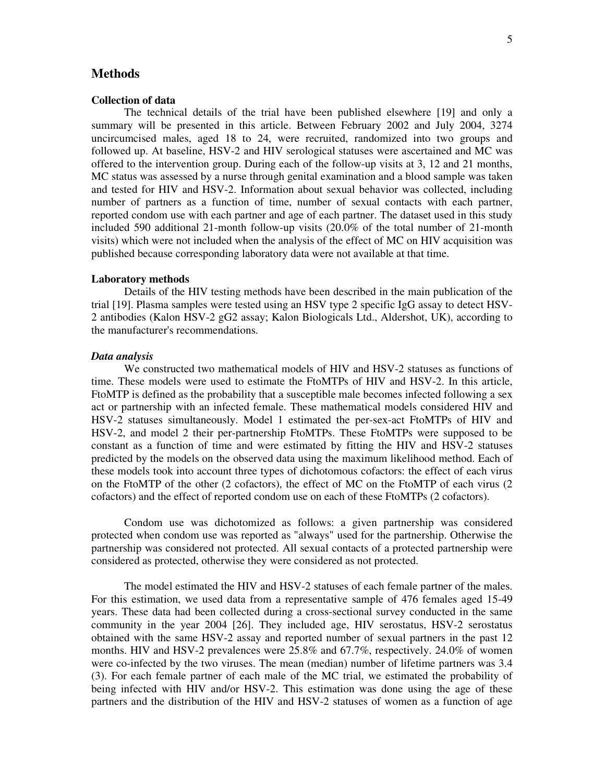#### **Methods**

#### **Collection of data**

The technical details of the trial have been published elsewhere [19] and only a summary will be presented in this article. Between February 2002 and July 2004, 3274 uncircumcised males, aged 18 to 24, were recruited, randomized into two groups and followed up. At baseline, HSV-2 and HIV serological statuses were ascertained and MC was offered to the intervention group. During each of the follow-up visits at 3, 12 and 21 months, MC status was assessed by a nurse through genital examination and a blood sample was taken and tested for HIV and HSV-2. Information about sexual behavior was collected, including number of partners as a function of time, number of sexual contacts with each partner, reported condom use with each partner and age of each partner. The dataset used in this study included 590 additional 21-month follow-up visits (20.0% of the total number of 21-month visits) which were not included when the analysis of the effect of MC on HIV acquisition was published because corresponding laboratory data were not available at that time.

#### **Laboratory methods**

Details of the HIV testing methods have been described in the main publication of the trial [19]. Plasma samples were tested using an HSV type 2 specific IgG assay to detect HSV-2 antibodies (Kalon HSV-2 gG2 assay; Kalon Biologicals Ltd., Aldershot, UK), according to the manufacturer's recommendations.

#### *Data analysis*

We constructed two mathematical models of HIV and HSV-2 statuses as functions of time. These models were used to estimate the FtoMTPs of HIV and HSV-2. In this article, FtoMTP is defined as the probability that a susceptible male becomes infected following a sex act or partnership with an infected female. These mathematical models considered HIV and HSV-2 statuses simultaneously. Model 1 estimated the per-sex-act FtoMTPs of HIV and HSV-2, and model 2 their per-partnership FtoMTPs. These FtoMTPs were supposed to be constant as a function of time and were estimated by fitting the HIV and HSV-2 statuses predicted by the models on the observed data using the maximum likelihood method. Each of these models took into account three types of dichotomous cofactors: the effect of each virus on the FtoMTP of the other (2 cofactors), the effect of MC on the FtoMTP of each virus (2 cofactors) and the effect of reported condom use on each of these FtoMTPs (2 cofactors).

Condom use was dichotomized as follows: a given partnership was considered protected when condom use was reported as "always" used for the partnership. Otherwise the partnership was considered not protected. All sexual contacts of a protected partnership were considered as protected, otherwise they were considered as not protected.

The model estimated the HIV and HSV-2 statuses of each female partner of the males. For this estimation, we used data from a representative sample of 476 females aged 15-49 years. These data had been collected during a cross-sectional survey conducted in the same community in the year 2004 [26]. They included age, HIV serostatus, HSV-2 serostatus obtained with the same HSV-2 assay and reported number of sexual partners in the past 12 months. HIV and HSV-2 prevalences were 25.8% and 67.7%, respectively. 24.0% of women were co-infected by the two viruses. The mean (median) number of lifetime partners was 3.4 (3). For each female partner of each male of the MC trial, we estimated the probability of being infected with HIV and/or HSV-2. This estimation was done using the age of these partners and the distribution of the HIV and HSV-2 statuses of women as a function of age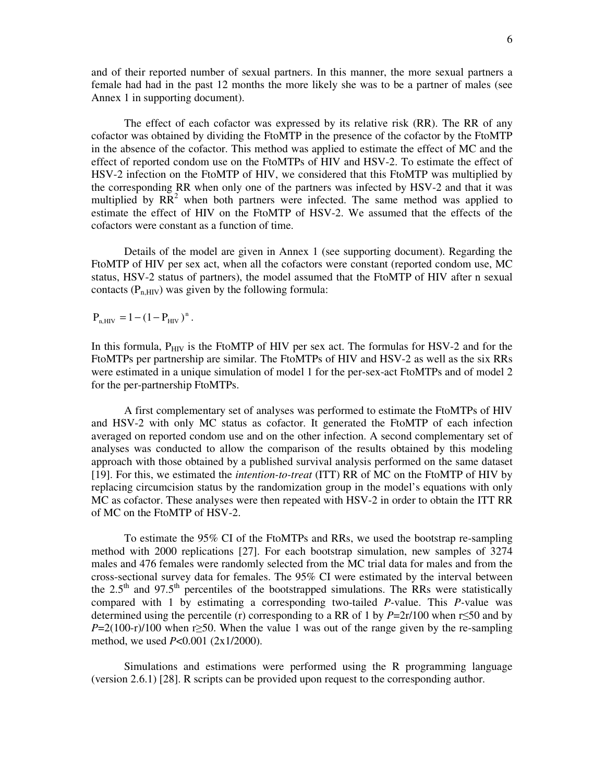and of their reported number of sexual partners. In this manner, the more sexual partners a female had had in the past 12 months the more likely she was to be a partner of males (see Annex 1 in supporting document).

The effect of each cofactor was expressed by its relative risk (RR). The RR of any cofactor was obtained by dividing the FtoMTP in the presence of the cofactor by the FtoMTP in the absence of the cofactor. This method was applied to estimate the effect of MC and the effect of reported condom use on the FtoMTPs of HIV and HSV-2. To estimate the effect of HSV-2 infection on the FtoMTP of HIV, we considered that this FtoMTP was multiplied by the corresponding RR when only one of the partners was infected by HSV-2 and that it was multiplied by  $RR<sup>2</sup>$  when both partners were infected. The same method was applied to estimate the effect of HIV on the FtoMTP of HSV-2. We assumed that the effects of the cofactors were constant as a function of time.

Details of the model are given in Annex 1 (see supporting document). Regarding the FtoMTP of HIV per sex act, when all the cofactors were constant (reported condom use, MC status, HSV-2 status of partners), the model assumed that the FtoMTP of HIV after n sexual contacts  $(P_{n,HIV})$  was given by the following formula:

 $P_{n, HIV} = 1 - (1 - P_{HIV})^{n}$ .

In this formula,  $P_{\text{HIV}}$  is the FtoMTP of HIV per sex act. The formulas for HSV-2 and for the FtoMTPs per partnership are similar. The FtoMTPs of HIV and HSV-2 as well as the six RRs were estimated in a unique simulation of model 1 for the per-sex-act FtoMTPs and of model 2 for the per-partnership FtoMTPs.

A first complementary set of analyses was performed to estimate the FtoMTPs of HIV and HSV-2 with only MC status as cofactor. It generated the FtoMTP of each infection averaged on reported condom use and on the other infection. A second complementary set of analyses was conducted to allow the comparison of the results obtained by this modeling approach with those obtained by a published survival analysis performed on the same dataset [19]. For this, we estimated the *intention-to-treat* (ITT) RR of MC on the FtoMTP of HIV by replacing circumcision status by the randomization group in the model's equations with only MC as cofactor. These analyses were then repeated with HSV-2 in order to obtain the ITT RR of MC on the FtoMTP of HSV-2.

To estimate the 95% CI of the FtoMTPs and RRs, we used the bootstrap re-sampling method with 2000 replications [27]. For each bootstrap simulation, new samples of 3274 males and 476 females were randomly selected from the MC trial data for males and from the cross-sectional survey data for females. The 95% CI were estimated by the interval between the  $2.5<sup>th</sup>$  and  $97.5<sup>th</sup>$  percentiles of the bootstrapped simulations. The RRs were statistically compared with 1 by estimating a corresponding two-tailed *P-*value. This *P-*value was determined using the percentile (r) corresponding to a RR of 1 by  $P=2r/100$  when r≤50 and by  $P=2(100-r)/100$  when r≥50. When the value 1 was out of the range given by the re-sampling method, we used *P*<0.001 (2x1/2000).

Simulations and estimations were performed using the R programming language (version 2.6.1) [28]. R scripts can be provided upon request to the corresponding author.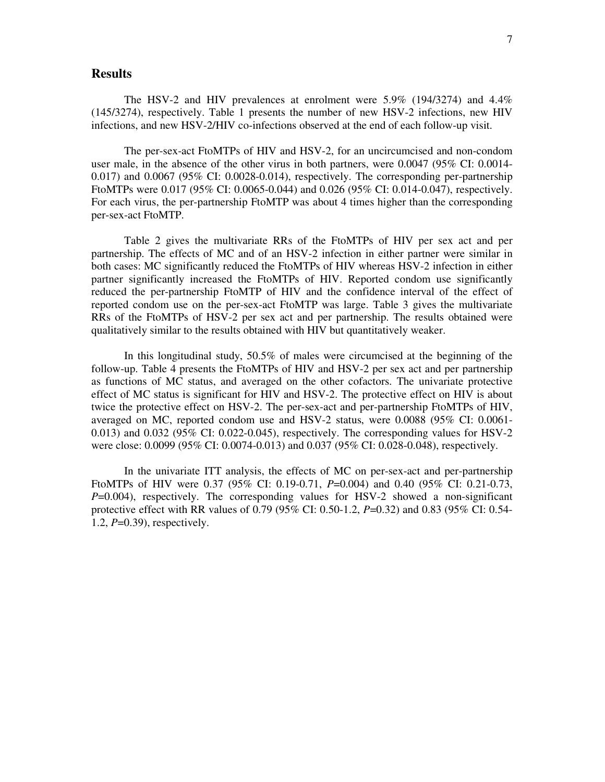#### **Results**

The HSV-2 and HIV prevalences at enrolment were 5.9% (194/3274) and 4.4% (145/3274), respectively. Table 1 presents the number of new HSV-2 infections, new HIV infections, and new HSV-2/HIV co-infections observed at the end of each follow-up visit.

The per-sex-act FtoMTPs of HIV and HSV-2, for an uncircumcised and non-condom user male, in the absence of the other virus in both partners, were 0.0047 (95% CI: 0.0014-  $0.017$ ) and  $0.0067$  (95% CI:  $0.0028$ -0.014), respectively. The corresponding per-partnership FtoMTPs were 0.017 (95% CI: 0.0065-0.044) and 0.026 (95% CI: 0.014-0.047), respectively. For each virus, the per-partnership FtoMTP was about 4 times higher than the corresponding per-sex-act FtoMTP.

Table 2 gives the multivariate RRs of the FtoMTPs of HIV per sex act and per partnership. The effects of MC and of an HSV-2 infection in either partner were similar in both cases: MC significantly reduced the FtoMTPs of HIV whereas HSV-2 infection in either partner significantly increased the FtoMTPs of HIV. Reported condom use significantly reduced the per-partnership FtoMTP of HIV and the confidence interval of the effect of reported condom use on the per-sex-act FtoMTP was large. Table 3 gives the multivariate RRs of the FtoMTPs of HSV-2 per sex act and per partnership. The results obtained were qualitatively similar to the results obtained with HIV but quantitatively weaker.

In this longitudinal study, 50.5% of males were circumcised at the beginning of the follow-up. Table 4 presents the FtoMTPs of HIV and HSV-2 per sex act and per partnership as functions of MC status, and averaged on the other cofactors. The univariate protective effect of MC status is significant for HIV and HSV-2. The protective effect on HIV is about twice the protective effect on HSV-2. The per-sex-act and per-partnership FtoMTPs of HIV, averaged on MC, reported condom use and HSV-2 status, were 0.0088 (95% CI: 0.0061- 0.013) and 0.032 (95% CI: 0.022-0.045), respectively. The corresponding values for HSV-2 were close: 0.0099 (95% CI: 0.0074-0.013) and 0.037 (95% CI: 0.028-0.048), respectively.

In the univariate ITT analysis, the effects of MC on per-sex-act and per-partnership FtoMTPs of HIV were 0.37 (95% CI: 0.19-0.71, *P*=0.004) and 0.40 (95% CI: 0.21-0.73, *P*=0.004), respectively. The corresponding values for HSV-2 showed a non-significant protective effect with RR values of 0.79 (95% CI: 0.50-1.2, *P*=0.32) and 0.83 (95% CI: 0.54- 1.2, *P*=0.39), respectively.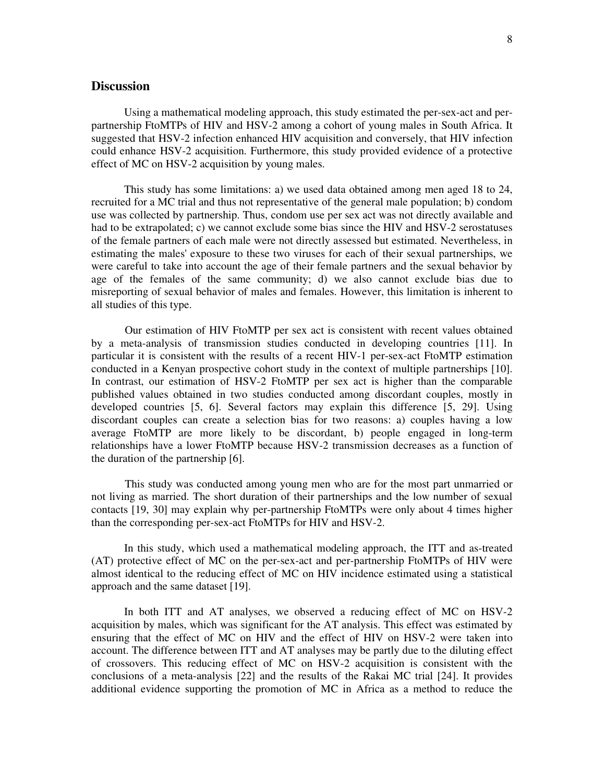# **Discussion**

Using a mathematical modeling approach, this study estimated the per-sex-act and perpartnership FtoMTPs of HIV and HSV-2 among a cohort of young males in South Africa. It suggested that HSV-2 infection enhanced HIV acquisition and conversely, that HIV infection could enhance HSV-2 acquisition. Furthermore, this study provided evidence of a protective effect of MC on HSV-2 acquisition by young males.

This study has some limitations: a) we used data obtained among men aged 18 to 24, recruited for a MC trial and thus not representative of the general male population; b) condom use was collected by partnership. Thus, condom use per sex act was not directly available and had to be extrapolated; c) we cannot exclude some bias since the HIV and HSV-2 serostatuses of the female partners of each male were not directly assessed but estimated. Nevertheless, in estimating the males' exposure to these two viruses for each of their sexual partnerships, we were careful to take into account the age of their female partners and the sexual behavior by age of the females of the same community; d) we also cannot exclude bias due to misreporting of sexual behavior of males and females. However, this limitation is inherent to all studies of this type.

 Our estimation of HIV FtoMTP per sex act is consistent with recent values obtained by a meta-analysis of transmission studies conducted in developing countries [11]. In particular it is consistent with the results of a recent HIV-1 per-sex-act FtoMTP estimation conducted in a Kenyan prospective cohort study in the context of multiple partnerships [10]. In contrast, our estimation of HSV-2 FtoMTP per sex act is higher than the comparable published values obtained in two studies conducted among discordant couples, mostly in developed countries [5, 6]. Several factors may explain this difference [5, 29]. Using discordant couples can create a selection bias for two reasons: a) couples having a low average FtoMTP are more likely to be discordant, b) people engaged in long-term relationships have a lower FtoMTP because HSV-2 transmission decreases as a function of the duration of the partnership [6].

 This study was conducted among young men who are for the most part unmarried or not living as married. The short duration of their partnerships and the low number of sexual contacts [19, 30] may explain why per-partnership FtoMTPs were only about 4 times higher than the corresponding per-sex-act FtoMTPs for HIV and HSV-2.

 In this study, which used a mathematical modeling approach, the ITT and as-treated (AT) protective effect of MC on the per-sex-act and per-partnership FtoMTPs of HIV were almost identical to the reducing effect of MC on HIV incidence estimated using a statistical approach and the same dataset [19].

In both ITT and AT analyses, we observed a reducing effect of MC on HSV-2 acquisition by males, which was significant for the AT analysis. This effect was estimated by ensuring that the effect of MC on HIV and the effect of HIV on HSV-2 were taken into account. The difference between ITT and AT analyses may be partly due to the diluting effect of crossovers. This reducing effect of MC on HSV-2 acquisition is consistent with the conclusions of a meta-analysis [22] and the results of the Rakai MC trial [24]. It provides additional evidence supporting the promotion of MC in Africa as a method to reduce the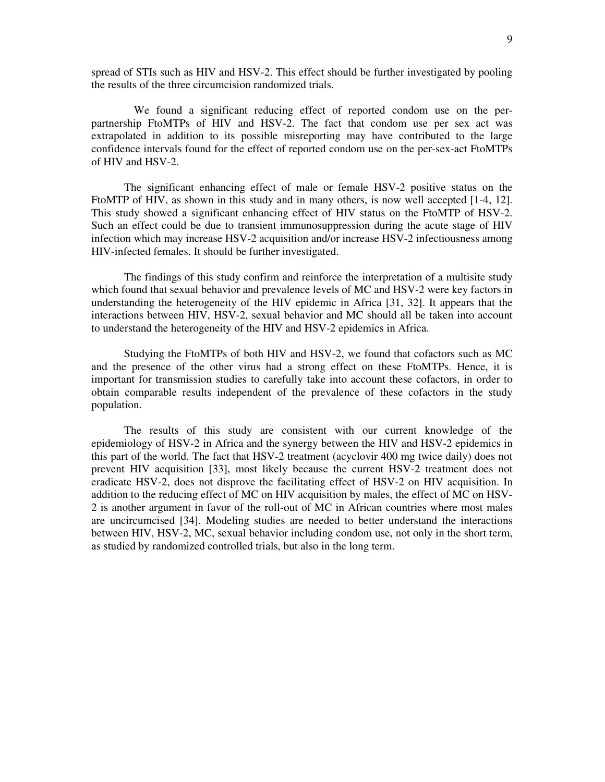spread of STIs such as HIV and HSV-2. This effect should be further investigated by pooling the results of the three circumcision randomized trials.

 We found a significant reducing effect of reported condom use on the perpartnership FtoMTPs of HIV and HSV-2. The fact that condom use per sex act was extrapolated in addition to its possible misreporting may have contributed to the large confidence intervals found for the effect of reported condom use on the per-sex-act FtoMTPs of HIV and HSV-2.

The significant enhancing effect of male or female HSV-2 positive status on the FtoMTP of HIV, as shown in this study and in many others, is now well accepted [1-4, 12]. This study showed a significant enhancing effect of HIV status on the FtoMTP of HSV-2. Such an effect could be due to transient immunosuppression during the acute stage of HIV infection which may increase HSV-2 acquisition and/or increase HSV-2 infectiousness among HIV-infected females. It should be further investigated.

The findings of this study confirm and reinforce the interpretation of a multisite study which found that sexual behavior and prevalence levels of MC and HSV-2 were key factors in understanding the heterogeneity of the HIV epidemic in Africa [31, 32]. It appears that the interactions between HIV, HSV-2, sexual behavior and MC should all be taken into account to understand the heterogeneity of the HIV and HSV-2 epidemics in Africa.

Studying the FtoMTPs of both HIV and HSV-2, we found that cofactors such as MC and the presence of the other virus had a strong effect on these FtoMTPs. Hence, it is important for transmission studies to carefully take into account these cofactors, in order to obtain comparable results independent of the prevalence of these cofactors in the study population.

 The results of this study are consistent with our current knowledge of the epidemiology of HSV-2 in Africa and the synergy between the HIV and HSV-2 epidemics in this part of the world. The fact that HSV-2 treatment (acyclovir 400 mg twice daily) does not prevent HIV acquisition [33], most likely because the current HSV-2 treatment does not eradicate HSV-2, does not disprove the facilitating effect of HSV-2 on HIV acquisition. In addition to the reducing effect of MC on HIV acquisition by males, the effect of MC on HSV-2 is another argument in favor of the roll-out of MC in African countries where most males are uncircumcised [34]. Modeling studies are needed to better understand the interactions between HIV, HSV-2, MC, sexual behavior including condom use, not only in the short term, as studied by randomized controlled trials, but also in the long term.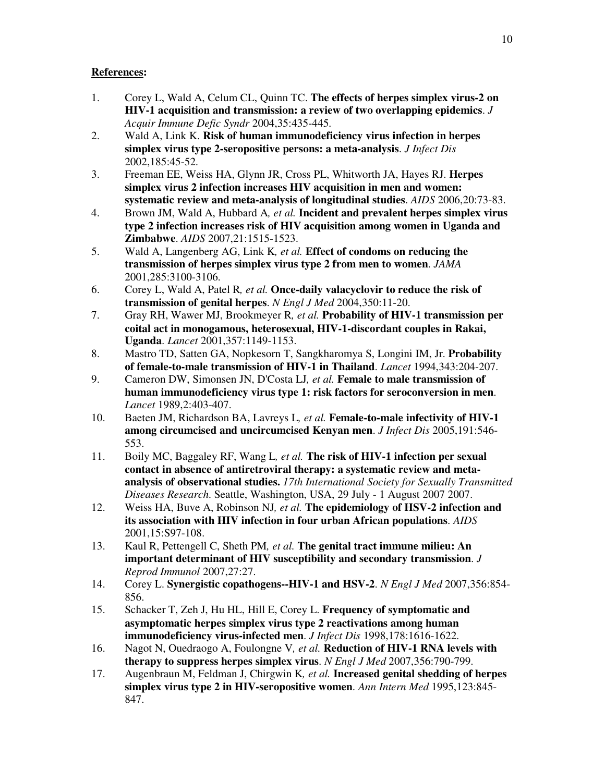# **References:**

- 1. Corey L, Wald A, Celum CL, Quinn TC. **The effects of herpes simplex virus-2 on HIV-1 acquisition and transmission: a review of two overlapping epidemics**. *J Acquir Immune Defic Syndr* 2004,35:435-445.
- 2. Wald A, Link K. **Risk of human immunodeficiency virus infection in herpes simplex virus type 2-seropositive persons: a meta-analysis**. *J Infect Dis*  2002,185:45-52.
- 3. Freeman EE, Weiss HA, Glynn JR, Cross PL, Whitworth JA, Hayes RJ. **Herpes simplex virus 2 infection increases HIV acquisition in men and women: systematic review and meta-analysis of longitudinal studies**. *AIDS* 2006,20:73-83.
- 4. Brown JM, Wald A, Hubbard A*, et al.* **Incident and prevalent herpes simplex virus type 2 infection increases risk of HIV acquisition among women in Uganda and Zimbabwe**. *AIDS* 2007,21:1515-1523.
- 5. Wald A, Langenberg AG, Link K*, et al.* **Effect of condoms on reducing the transmission of herpes simplex virus type 2 from men to women**. *JAMA*  2001,285:3100-3106.
- 6. Corey L, Wald A, Patel R*, et al.* **Once-daily valacyclovir to reduce the risk of transmission of genital herpes**. *N Engl J Med* 2004,350:11-20.
- 7. Gray RH, Wawer MJ, Brookmeyer R*, et al.* **Probability of HIV-1 transmission per coital act in monogamous, heterosexual, HIV-1-discordant couples in Rakai, Uganda**. *Lancet* 2001,357:1149-1153.
- 8. Mastro TD, Satten GA, Nopkesorn T, Sangkharomya S, Longini IM, Jr. **Probability of female-to-male transmission of HIV-1 in Thailand**. *Lancet* 1994,343:204-207.
- 9. Cameron DW, Simonsen JN, D'Costa LJ*, et al.* **Female to male transmission of human immunodeficiency virus type 1: risk factors for seroconversion in men**. *Lancet* 1989,2:403-407.
- 10. Baeten JM, Richardson BA, Lavreys L*, et al.* **Female-to-male infectivity of HIV-1 among circumcised and uncircumcised Kenyan men**. *J Infect Dis* 2005,191:546- 553.
- 11. Boily MC, Baggaley RF, Wang L*, et al.* **The risk of HIV-1 infection per sexual contact in absence of antiretroviral therapy: a systematic review and metaanalysis of observational studies.** *17th International Society for Sexually Transmitted Diseases Research*. Seattle, Washington, USA, 29 July - 1 August 2007 2007.
- 12. Weiss HA, Buve A, Robinson NJ*, et al.* **The epidemiology of HSV-2 infection and its association with HIV infection in four urban African populations**. *AIDS*  2001,15:S97-108.
- 13. Kaul R, Pettengell C, Sheth PM*, et al.* **The genital tract immune milieu: An important determinant of HIV susceptibility and secondary transmission**. *J Reprod Immunol* 2007,27:27.
- 14. Corey L. **Synergistic copathogens--HIV-1 and HSV-2**. *N Engl J Med* 2007,356:854- 856.
- 15. Schacker T, Zeh J, Hu HL, Hill E, Corey L. **Frequency of symptomatic and asymptomatic herpes simplex virus type 2 reactivations among human immunodeficiency virus-infected men**. *J Infect Dis* 1998,178:1616-1622.
- 16. Nagot N, Ouedraogo A, Foulongne V*, et al.* **Reduction of HIV-1 RNA levels with therapy to suppress herpes simplex virus**. *N Engl J Med* 2007,356:790-799.
- 17. Augenbraun M, Feldman J, Chirgwin K*, et al.* **Increased genital shedding of herpes simplex virus type 2 in HIV-seropositive women**. *Ann Intern Med* 1995,123:845- 847.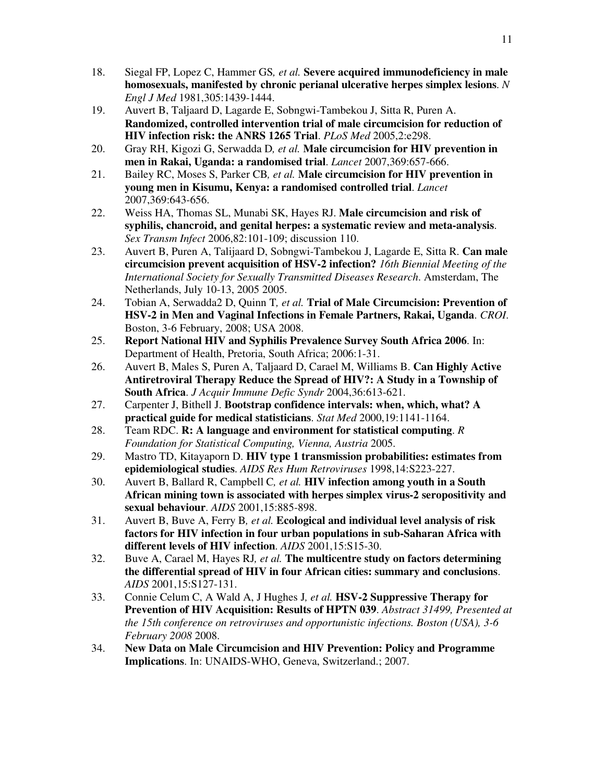- 18. Siegal FP, Lopez C, Hammer GS*, et al.* **Severe acquired immunodeficiency in male homosexuals, manifested by chronic perianal ulcerative herpes simplex lesions**. *N Engl J Med* 1981,305:1439-1444.
- 19. Auvert B, Taljaard D, Lagarde E, Sobngwi-Tambekou J, Sitta R, Puren A. **Randomized, controlled intervention trial of male circumcision for reduction of HIV infection risk: the ANRS 1265 Trial**. *PLoS Med* 2005,2:e298.
- 20. Gray RH, Kigozi G, Serwadda D*, et al.* **Male circumcision for HIV prevention in men in Rakai, Uganda: a randomised trial**. *Lancet* 2007,369:657-666.
- 21. Bailey RC, Moses S, Parker CB*, et al.* **Male circumcision for HIV prevention in young men in Kisumu, Kenya: a randomised controlled trial**. *Lancet*  2007,369:643-656.
- 22. Weiss HA, Thomas SL, Munabi SK, Hayes RJ. **Male circumcision and risk of syphilis, chancroid, and genital herpes: a systematic review and meta-analysis**. *Sex Transm Infect* 2006,82:101-109; discussion 110.
- 23. Auvert B, Puren A, Talijaard D, Sobngwi-Tambekou J, Lagarde E, Sitta R. **Can male circumcision prevent acquisition of HSV-2 infection?** *16th Biennial Meeting of the International Society for Sexually Transmitted Diseases Research*. Amsterdam, The Netherlands, July 10-13, 2005 2005.
- 24. Tobian A, Serwadda2 D, Quinn T*, et al.* **Trial of Male Circumcision: Prevention of HSV-2 in Men and Vaginal Infections in Female Partners, Rakai, Uganda**. *CROI*. Boston, 3-6 February, 2008; USA 2008.
- 25. **Report National HIV and Syphilis Prevalence Survey South Africa 2006**. In: Department of Health, Pretoria, South Africa; 2006:1-31.
- 26. Auvert B, Males S, Puren A, Taljaard D, Carael M, Williams B. **Can Highly Active Antiretroviral Therapy Reduce the Spread of HIV?: A Study in a Township of South Africa**. *J Acquir Immune Defic Syndr* 2004,36:613-621.
- 27. Carpenter J, Bithell J. **Bootstrap confidence intervals: when, which, what? A practical guide for medical statisticians**. *Stat Med* 2000,19:1141-1164.
- 28. Team RDC. **R: A language and environment for statistical computing**. *R Foundation for Statistical Computing, Vienna, Austria* 2005.
- 29. Mastro TD, Kitayaporn D. **HIV type 1 transmission probabilities: estimates from epidemiological studies**. *AIDS Res Hum Retroviruses* 1998,14:S223-227.
- 30. Auvert B, Ballard R, Campbell C*, et al.* **HIV infection among youth in a South African mining town is associated with herpes simplex virus-2 seropositivity and sexual behaviour**. *AIDS* 2001,15:885-898.
- 31. Auvert B, Buve A, Ferry B*, et al.* **Ecological and individual level analysis of risk factors for HIV infection in four urban populations in sub-Saharan Africa with different levels of HIV infection**. *AIDS* 2001,15:S15-30.
- 32. Buve A, Carael M, Hayes RJ*, et al.* **The multicentre study on factors determining the differential spread of HIV in four African cities: summary and conclusions**. *AIDS* 2001,15:S127-131.
- 33. Connie Celum C, A Wald A, J Hughes J*, et al.* **HSV-2 Suppressive Therapy for Prevention of HIV Acquisition: Results of HPTN 039**. *Abstract 31499, Presented at the 15th conference on retroviruses and opportunistic infections. Boston (USA), 3-6 February 2008* 2008.
- 34. **New Data on Male Circumcision and HIV Prevention: Policy and Programme Implications**. In: UNAIDS-WHO, Geneva, Switzerland.; 2007.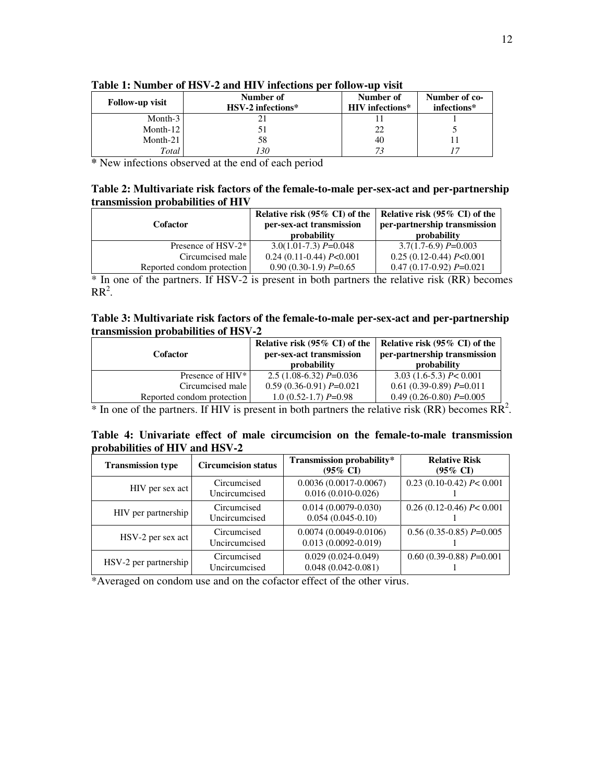| <b>Follow-up visit</b> | Number of<br>HSV-2 infections* | Number of<br><b>HIV</b> infections* | Number of co-<br>infections* |
|------------------------|--------------------------------|-------------------------------------|------------------------------|
| Month- $3$             |                                |                                     |                              |
| Month-12               |                                | 22                                  |                              |
| Month- $21$            | 58                             | 40                                  |                              |
| Total                  | 30                             | 73                                  |                              |

**Table 1: Number of HSV-2 and HIV infections per follow-up visit** 

**\*** New infections observed at the end of each period

#### **Table 2: Multivariate risk factors of the female-to-male per-sex-act and per-partnership transmission probabilities of HIV**

| Cofactor                       | Relative risk (95% CI) of the<br>per-sex-act transmission<br>probability | Relative risk (95% CI) of the<br>per-partnership transmission<br><b>probability</b> |
|--------------------------------|--------------------------------------------------------------------------|-------------------------------------------------------------------------------------|
| Presence of HSV-2 <sup>*</sup> | $3.0(1.01-7.3) P=0.048$                                                  | $3.7(1.7-6.9) P=0.003$                                                              |
| Circumcised male               | $0.24$ (0.11-0.44) $P<0.001$                                             | $0.25(0.12-0.44) P<0.001$                                                           |
| Reported condom protection     | $0.90(0.30-1.9) P=0.65$                                                  | $0.47(0.17-0.92) P=0.021$                                                           |

\* In one of the partners. If HSV-2 is present in both partners the relative risk (RR) becomes  $RR^2$ .

## **Table 3: Multivariate risk factors of the female-to-male per-sex-act and per-partnership transmission probabilities of HSV-2**

| <b>Cofactor</b>              | Relative risk (95% CI) of the<br>per-sex-act transmission<br>probability | Relative risk (95% CI) of the<br>per-partnership transmission<br>probability |
|------------------------------|--------------------------------------------------------------------------|------------------------------------------------------------------------------|
| Presence of HIV <sup>*</sup> | $2.5(1.08-6.32) P=0.036$                                                 | $3.03(1.6-5.3) P< 0.001$                                                     |
| Circumcised male             | $0.59(0.36-0.91) P=0.021$                                                | $0.61(0.39-0.89) P=0.011$                                                    |
| Reported condom protection   | $1.0(0.52-1.7) P=0.98$                                                   | $0.49(0.26-0.80) P=0.005$                                                    |

 $*$  In one of the partners. If HIV is present in both partners the relative risk (RR) becomes  $\overline{RR}^2$ .

|                                |  |  | Table 4: Univariate effect of male circumcision on the female-to-male transmission |  |
|--------------------------------|--|--|------------------------------------------------------------------------------------|--|
| probabilities of HIV and HSV-2 |  |  |                                                                                    |  |

| <b>Transmission type</b>                                | <b>Circumcision status</b>   | Transmission probability*<br>$(95\% \text{ CI})$   | <b>Relative Risk</b><br>$(95\% \text{ CI})$ |
|---------------------------------------------------------|------------------------------|----------------------------------------------------|---------------------------------------------|
| HIV per sex act                                         | Circumcised<br>Uncircumcised | $0.0036(0.0017-0.0067)$<br>$0.016(0.010-0.026)$    | $0.23(0.10-0.42) P< 0.001$                  |
| HIV per partnership                                     | Circumcised<br>Uncircumcised | $0.014(0.0079 - 0.030)$<br>$0.054(0.045-0.10)$     | $0.26(0.12-0.46)$ P< 0.001                  |
| HSV-2 per sex act                                       | Circumcised<br>Uncircumcised | $0.0074(0.0049-0.0106)$<br>$0.013(0.0092 - 0.019)$ | $0.56(0.35-0.85) P=0.005$                   |
| Circumcised<br>$HSV-2$ per partnership<br>Uncircumcised |                              | $0.029(0.024-0.049)$<br>$0.048(0.042 - 0.081)$     | $0.60(0.39-0.88) P=0.001$                   |

\*Averaged on condom use and on the cofactor effect of the other virus.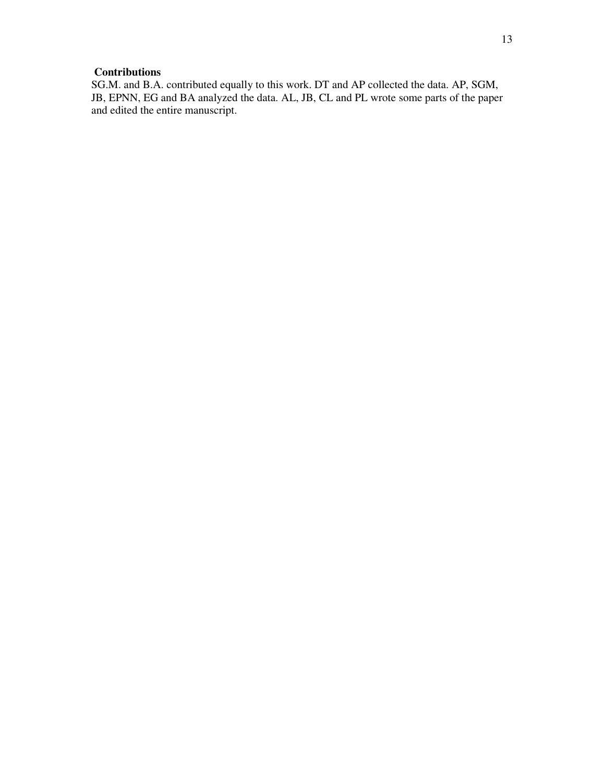# **Contributions**

SG.M. and B.A. contributed equally to this work. DT and AP collected the data. AP, SGM, JB, EPNN, EG and BA analyzed the data. AL, JB, CL and PL wrote some parts of the paper and edited the entire manuscript.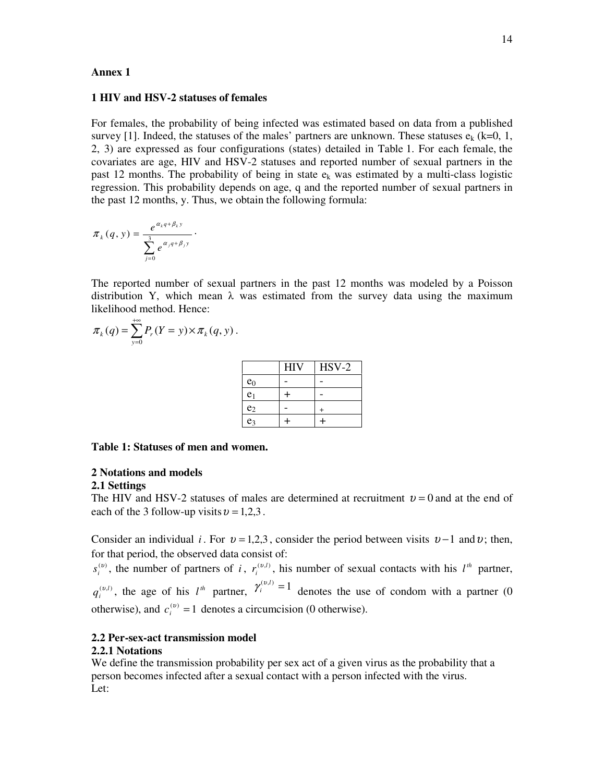#### **Annex 1**

#### **1 HIV and HSV-2 statuses of females**

For females, the probability of being infected was estimated based on data from a published survey [1]. Indeed, the statuses of the males' partners are unknown. These statuses  $e_k$  (k=0, 1, 2, 3) are expressed as four configurations (states) detailed in Table 1. For each female, the covariates are age, HIV and HSV-2 statuses and reported number of sexual partners in the past 12 months. The probability of being in state  $e_k$  was estimated by a multi-class logistic regression. This probability depends on age, q and the reported number of sexual partners in the past 12 months, y. Thus, we obtain the following formula:

$$
\pi_k(q, y) = \frac{e^{\alpha_k q + \beta_k y}}{\sum_{j=0}^3 e^{\alpha_j q + \beta_j y}}.
$$

The reported number of sexual partners in the past 12 months was modeled by a Poisson distribution Y, which mean  $\lambda$  was estimated from the survey data using the maximum likelihood method. Hence:

$$
\pi_k(q) = \sum_{y=0}^{+\infty} P_r(Y = y) \times \pi_k(q, y).
$$

|                | <b>HIV</b> | $HSV-2$ |
|----------------|------------|---------|
| $e_0$          |            |         |
| e <sub>1</sub> |            |         |
| e <sub>2</sub> |            |         |
| e <sub>3</sub> |            |         |

#### **Table 1: Statuses of men and women.**

#### **2 Notations and models**

#### **2.1 Settings**

The HIV and HSV-2 statuses of males are determined at recruitment  $v = 0$  and at the end of each of the 3 follow-up visits  $v = 1,2,3$ .

Consider an individual *i*. For  $v = 1,2,3$ , consider the period between visits  $v - 1$  and v; then, for that period, the observed data consist of:

 $s_i^{(v)}$ , the number of partners of *i*,  $r_i^{(v,l)}$ , his number of sexual contacts with his  $l^h$  partner,  $q_i^{(v,l)}$ , the age of his  $l^h$  partner,  $\gamma_i^{(v,l)} = 1$  denotes the use of condom with a partner (0 otherwise), and  $c_i^{(v)} = 1$  denotes a circumcision (0 otherwise).

#### **2.2 Per-sex-act transmission model**

#### **2.2.1 Notations**

We define the transmission probability per sex act of a given virus as the probability that a person becomes infected after a sexual contact with a person infected with the virus. Let: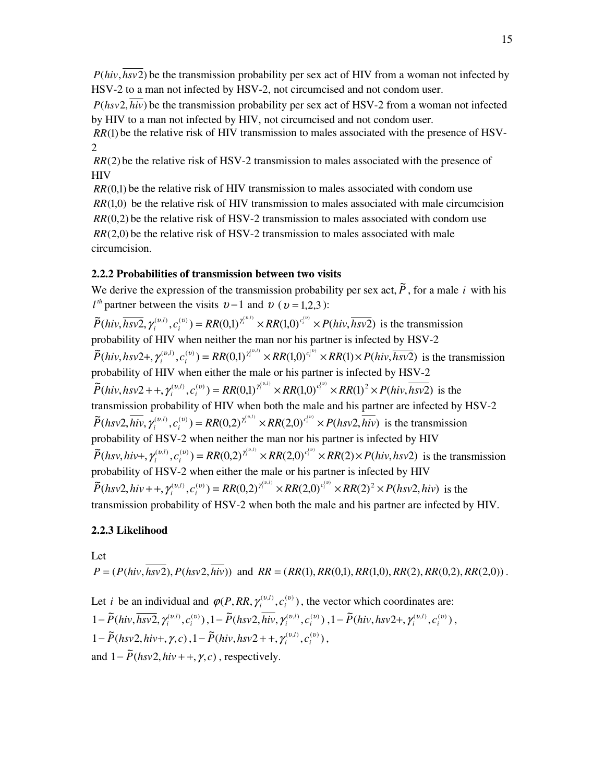$P(hiv, \overline{hsv2})$  be the transmission probability per sex act of HIV from a woman not infected by HSV-2 to a man not infected by HSV-2, not circumcised and not condom user.

 $P(hsv2, hiv)$  be the transmission probability per sex act of HSV-2 from a woman not infected by HIV to a man not infected by HIV, not circumcised and not condom user.

*RR*(1) be the relative risk of HIV transmission to males associated with the presence of HSV-2

 $RR(2)$  be the relative risk of HSV-2 transmission to males associated with the presence of **HIV** 

 $RR(0,1)$  be the relative risk of HIV transmission to males associated with condom use  $RR(1,0)$  be the relative risk of HIV transmission to males associated with male circumcision *RR*(0.2) be the relative risk of HSV-2 transmission to males associated with condom use  $RR(2,0)$  be the relative risk of HSV-2 transmission to males associated with male circumcision.

## **2.2.2 Probabilities of transmission between two visits**

We derive the expression of the transmission probability per sex act,  $\tilde{P}$ , for a male *i* with his *l<sup>th</sup>* partner between the visits  $v-1$  and  $v$  ( $v = 1,2,3$ ):  $\widetilde{P}(hiv, \overline{hsv2}, \gamma_i^{(v,l)}, c_i^{(v)}) = RR(0,1)^{\gamma_i^{(v,l)}} \times RR(1,0)^{c_i^{(v)}} \times P(hiv, \overline{hsv2})$ *i*  $\gamma_i^{(v,l)}, c_i^{(v)}$  =  $RR(0,1)^{\gamma_i^{(v,l)}} \times RR(1,0)^{c_i^{(v)}} \times P(hiv, \overline{hsv2})$  is the transmission probability of HIV when neither the man nor his partner is infected by HSV-2  $\widetilde{P}(hiv, hsv2+, \gamma_i^{(v,l)}, c_i^{(v)}) = RR(0,1)^{\gamma_i^{(v,l)}} \times RR(1,0)^{c_i^{(v)}} \times RR(1) \times P(hiv, \overline{hsv2})$ *i* +,  $\gamma_i^{(v,l)}$ ,  $c_i^{(v)}$ ) =  $RR(0,1)^{\gamma_i^{(v,l)}} \times RR(1,0)^{c_i^{(v)}} \times RR(1) \times P(hiv, \overline{hsv2})$  is the transmission probability of HIV when either the male or his partner is infected by HSV-2  $\widetilde{P}(hiv, hsv2 + +, \gamma_i^{(v,l)}, c_i^{(v)}) = RR(0,1)^{\gamma_i^{(v,l)}} \times RR(1,0)^{c_i^{(v)}} \times RR(1)^2 \times P(hiv, \overline{hsv2})$ *i*  $l_1 + \frac{\gamma_i^{(v,l)}}{v_i^{(v,l)}}$ ,  $c_i^{(v)}$ ) = RR(0,1)<sup> $\gamma_i^{(v,l)} \times RR(1,0)^{c_i^{(v)}} \times RR(1)^2 \times P(hiv, \overline{hsv2})$  is the</sup> transmission probability of HIV when both the male and his partner are infected by HSV-2  $\widetilde{P}(hsv2, \overline{hiv}, \gamma_i^{(v,l)}, c_i^{(v)}) = RR(0,2)^{\gamma_i^{(v,l)}} \times RR(2,0)^{c_i^{(v)}} \times P(hsv2, \overline{hiv})$ *i*  $\gamma_i^{(v,l)}, c_i^{(v)}$  =  $RR(0,2)^{\gamma_i^{(v,l)}} \times RR(2,0)^{c_i^{(v)}} \times P(hsv2,\overline{hiv})$  is the transmission probability of HSV-2 when neither the man nor his partner is infected by HIV  $\widetilde{P}(hsv, hiv+, \gamma_i^{(v,l)}, c_i^{(v)}) = RR(0, 2)^{\gamma_i^{(v,l)}} \times RR(2, 0)^{c_i^{(v)}} \times RR(2) \times P(hiv, hsv2)$ *i* +,  $\gamma_i^{(v,l)}$ ,  $c_i^{(v)}$ ) =  $RR(0,2)^{\gamma_i^{(v,l)}} \times RR(2,0)^{c_i^{(v)}} \times RR(2) \times P(hiv, hsv2)$  is the transmission probability of HSV-2 when either the male or his partner is infected by HIV  $\widetilde{P}(hsv2, hiv + +, \gamma_i^{(v,l)}, c_i^{(v)}) = RR(0, 2)^{\gamma_i^{(v,l)}} \times RR(2, 0)^{c_i^{(v)}} \times RR(2)^2 \times P(hsv2, hiv)$ *i*  $l_1 + \frac{\gamma_i^{(v,l)}}{c_i^{(v)}} = RR(0,2)^{\gamma_i^{(v,l)}} \times RR(2,0)^{c_i^{(v)}} \times RR(2)^2 \times P(hsv2, hiv)$  is the transmission probability of HSV-2 when both the male and his partner are infected by HIV.

## **2.2.3 Likelihood**

Let  $P = (P(hiv, \overline{hsv2}), P(hsv2, \overline{hiv}))$  and  $RR = (RR(1), RR(0,1), RR(1,0), RR(2), RR(0,2), RR(2,0))$ .

Let *i* be an individual and  $\varphi(P, RR, \gamma_i^{(v,l)}, c_i^{(v)})$ , the vector which coordinates are:  $1-\tilde{P}(hiv, \overline{hsv2}, \gamma_i^{(v,l)}, c_i^{(v)}), 1-\tilde{P}(hsv2, \overline{hiv}, \gamma_i^{(v,l)}, c_i^{(v)}), 1-\tilde{P}(hiv, hsv2+, \gamma_i^{(v,l)}, c_i^{(v)}),$  $1 - \widetilde{P}(hsv2, hiv+, \gamma, c), 1 - \widetilde{P}(hiv, hsv2 + +, \gamma_i^{(v,i)}, c_i^{(v)})$ , and  $1 - \tilde{P}$  *(hsv2, hiv* + +,  $\gamma$ , *c*), respectively.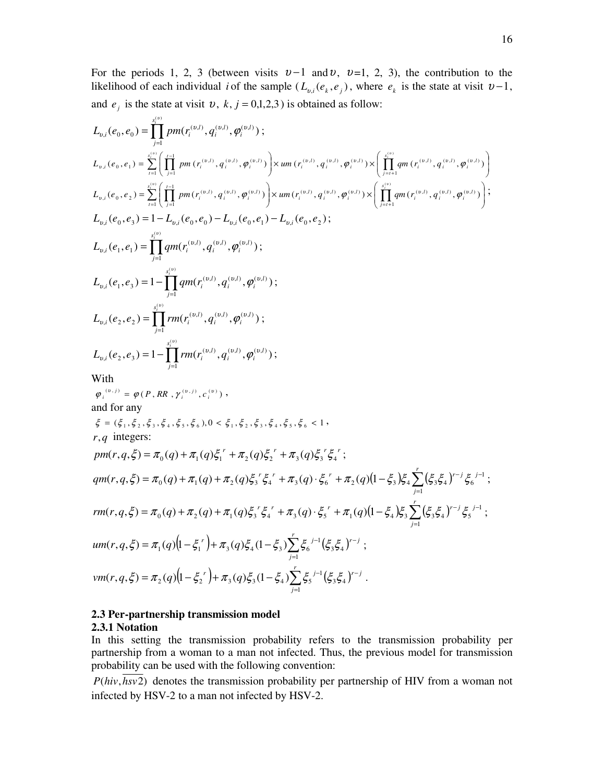For the periods 1, 2, 3 (between visits  $v-1$  and  $v$ ,  $v=1$ , 2, 3), the contribution to the likelihood of each individual *i* of the sample  $(L_{v,i}(e_k, e_j))$ , where  $e_k$  is the state at visit  $v-1$ , and  $e_j$  is the state at visit  $v$ ,  $k$ ,  $j = 0,1,2,3$  ) is obtained as follow:

$$
L_{v,i}(e_{0}, e_{0}) = \sum_{j=1}^{s(v)} pm(r_{v}^{(v,i)}, q_{i}^{(v,i)}, \varphi_{i}^{(v,i)}) ;
$$
\n
$$
L_{v,i}(e_{0}, e_{1}) = \sum_{i=1}^{s(v)} \left( \prod_{j=1}^{i-1} pm(r_{i}^{(v,i)}, q_{i}^{(v,i)}, \varphi_{i}^{(v,i)}) \right) \times um(r_{i}^{(v,i)}, q_{i}^{(v,i)}, \varphi_{i}^{(v,i)}) \times \left( \prod_{j=i+1}^{s(v)} qm(r_{i}^{(v,i)}, q_{i}^{(v,i)}, \varphi_{i}^{(v,i)}) \right)
$$
\n
$$
L_{v,i}(e_{0}, e_{2}) = \sum_{i=1}^{s(v)} \left( \prod_{j=1}^{i-1} pm(r_{i}^{(v,i)}, q_{i}^{(v,i)}, \varphi_{i}^{(v,i)}) \right) \times um(r_{i}^{(v,i)}, q_{i}^{(v,i)}, \varphi_{i}^{(v,i)}) \times \left( \prod_{j=i+1}^{s(v)} qm(r_{i}^{(v,i)}, q_{i}^{(v,i)}, \varphi_{i}^{(v,i)}) \right);
$$
\n
$$
L_{v,i}(e_{0}, e_{3}) = 1 - L_{v,i}(e_{0}, e_{0}) - L_{v,i}(e_{0}, e_{1}) - L_{v,i}(e_{0}, e_{2});
$$
\n
$$
L_{v,i}(e_{1}, e_{1}) = \prod_{j=1}^{s(v)} qm(r_{i}^{(v,i)}, q_{i}^{(v,i)}, \varphi_{i}^{(v,i)});
$$
\n
$$
L_{v,i}(e_{2}, e_{2}) = \prod_{j=1}^{s(v)} rm(r_{i}^{(v,i)}, q_{i}^{(v,i)}, \varphi_{i}^{(v,i)});
$$
\n
$$
L_{v,i}(e_{2}, e_{3}) = 1 - \prod_{j=1}^{s(v)} rm(r_{i}^{(v,i)}, q_{i}^{(v,i)}, \varphi_{i}^{(v,i)});
$$
\nWith 
$$
\varphi_{i}^{(v,i)} = \varphi(P, RR, \gamma_{i}^{(v,i)}, c_{i}^{(v)}) ,
$$
\nWith 
$$
\varphi_{i}^{(v,i)} = \varphi(P, RR, \gamma_{i}^{(v,i)}, c_{i}^{(v)}) ,
$$
\n

$$
vm(r, q, \xi) = \pi_2(q)\left(1 - \xi_2^{r}\right) + \pi_3(q)\xi_3(1 - \xi_4)\sum_{j=1}^{r} \xi_5^{j-1}\left(\xi_3\xi_4\right)^{r-j}.
$$

## **2.3 Per-partnership transmission model**

#### **2.3.1 Notation**

In this setting the transmission probability refers to the transmission probability per partnership from a woman to a man not infected. Thus, the previous model for transmission probability can be used with the following convention:

 $P(hiv, \overline{hsv2})$  denotes the transmission probability per partnership of HIV from a woman not infected by HSV-2 to a man not infected by HSV-2.